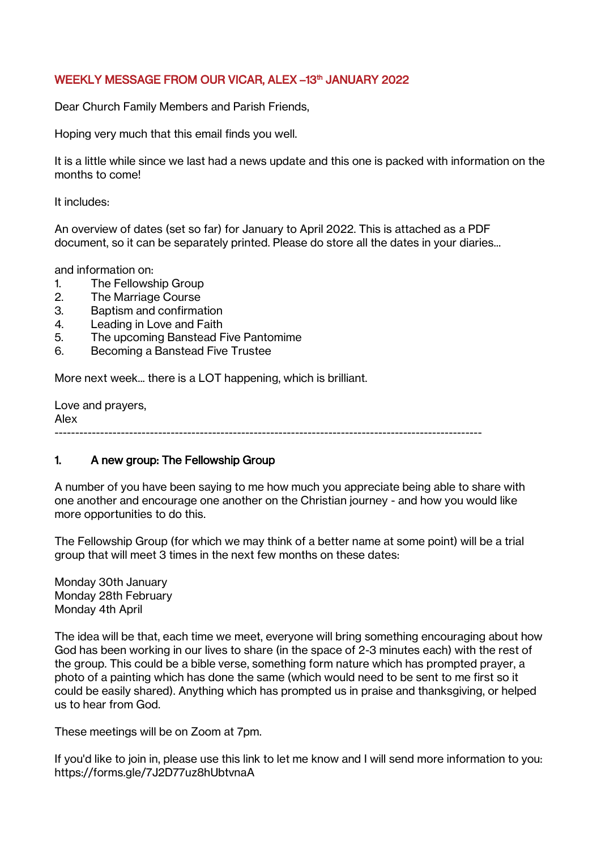### WEEKLY MESSAGE FROM OUR VICAR, ALEX –13th JANUARY 2022

Dear Church Family Members and Parish Friends,

Hoping very much that this email finds you well.

It is a little while since we last had a news update and this one is packed with information on the months to come!

It includes:

An overview of dates (set so far) for January to April 2022. This is attached as a PDF document, so it can be separately printed. Please do store all the dates in your diaries...

and information on:

- 1. The Fellowship Group
- 2. The Marriage Course
- 3. Baptism and confirmation
- 4. Leading in Love and Faith
- 5. The upcoming Banstead Five Pantomime
- 6. Becoming a Banstead Five Trustee

More next week... there is a LOT happening, which is brilliant.

Love and prayers, Alex -------------------------------------------------------------------------------------------------------

#### 1. A new group: The Fellowship Group

A number of you have been saying to me how much you appreciate being able to share with one another and encourage one another on the Christian journey - and how you would like more opportunities to do this.

The Fellowship Group (for which we may think of a better name at some point) will be a trial group that will meet 3 times in the next few months on these dates:

Monday 30th January Monday 28th February Monday 4th April

The idea will be that, each time we meet, everyone will bring something encouraging about how God has been working in our lives to share (in the space of 2-3 minutes each) with the rest of the group. This could be a bible verse, something form nature which has prompted prayer, a photo of a painting which has done the same (which would need to be sent to me first so it could be easily shared). Anything which has prompted us in praise and thanksgiving, or helped us to hear from God.

These meetings will be on Zoom at 7pm.

If you'd like to join in, please use this link to let me know and I will send more information to you: https://forms.gle/7J2D77uz8hUbtvnaA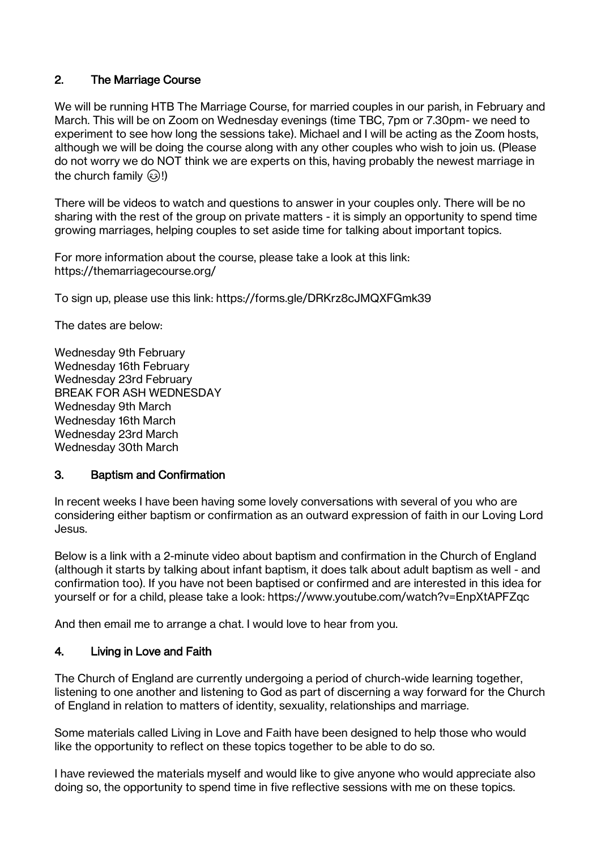# 2. The Marriage Course

We will be running HTB The Marriage Course, for married couples in our parish, in February and March. This will be on Zoom on Wednesday evenings (time TBC, 7pm or 7.30pm- we need to experiment to see how long the sessions take). Michael and I will be acting as the Zoom hosts, although we will be doing the course along with any other couples who wish to join us. (Please do not worry we do NOT think we are experts on this, having probably the newest marriage in the church family  $\circled{3}$ !)

There will be videos to watch and questions to answer in your couples only. There will be no sharing with the rest of the group on private matters - it is simply an opportunity to spend time growing marriages, helping couples to set aside time for talking about important topics.

For more information about the course, please take a look at this link: https://themarriagecourse.org/

To sign up, please use this link: https://forms.gle/DRKrz8cJMQXFGmk39

The dates are below:

Wednesday 9th February Wednesday 16th February Wednesday 23rd February BREAK FOR ASH WEDNESDAY Wednesday 9th March Wednesday 16th March Wednesday 23rd March Wednesday 30th March

## 3. Baptism and Confirmation

In recent weeks I have been having some lovely conversations with several of you who are considering either baptism or confirmation as an outward expression of faith in our Loving Lord Jesus.

Below is a link with a 2-minute video about baptism and confirmation in the Church of England (although it starts by talking about infant baptism, it does talk about adult baptism as well - and confirmation too). If you have not been baptised or confirmed and are interested in this idea for yourself or for a child, please take a look: https://www.youtube.com/watch?v=EnpXtAPFZqc

And then email me to arrange a chat. I would love to hear from you.

## 4. Living in Love and Faith

The Church of England are currently undergoing a period of church-wide learning together, listening to one another and listening to God as part of discerning a way forward for the Church of England in relation to matters of identity, sexuality, relationships and marriage.

Some materials called Living in Love and Faith have been designed to help those who would like the opportunity to reflect on these topics together to be able to do so.

I have reviewed the materials myself and would like to give anyone who would appreciate also doing so, the opportunity to spend time in five reflective sessions with me on these topics.